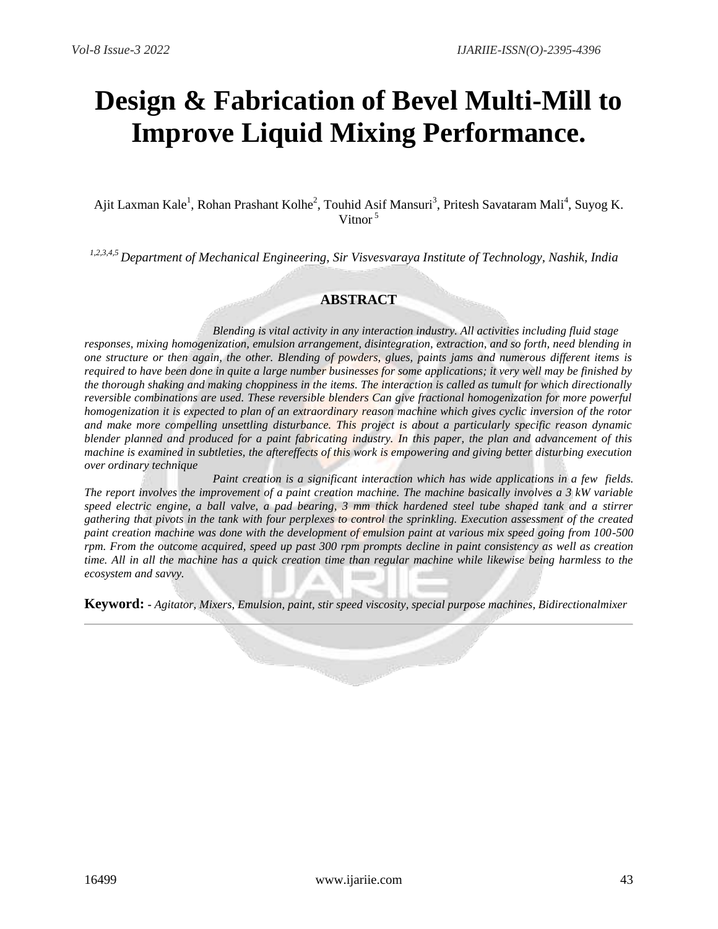# **Design & Fabrication of Bevel Multi-Mill to Improve Liquid Mixing Performance.**

Ajit Laxman Kale<sup>1</sup>, Rohan Prashant Kolhe<sup>2</sup>, Touhid Asif Mansuri<sup>3</sup>, Pritesh Savataram Mali<sup>4</sup>, Suyog K. Vitnor<sup>5</sup>

*1,2,3,4,5 Department of Mechanical Engineering, Sir Visvesvaraya Institute of Technology, Nashik, India*

# **ABSTRACT**

*Blending is vital activity in any interaction industry. All activities including fluid stage responses, mixing homogenization, emulsion arrangement, disintegration, extraction, and so forth, need blending in* one structure or then again, the other. Blending of powders, glues, paints jams and numerous different items is *required to have been done in quite a large number businesses for some applications; it very well may be finished by the thorough shaking and making choppiness in the items. The interaction is called as tumult for which directionally reversible combinations are used. These reversible blenders Can give fractional homogenization for more powerful* homogenization it is expected to plan of an extraordinary reason machine which gives cyclic inversion of the rotor *and make more compelling unsettling disturbance. This project is about a particularly specific reason dynamic* blender planned and produced for a paint fabricating industry. In this paper, the plan and advancement of this machine is examined in subtleties, the aftereffects of this work is empowering and giving better disturbing execution *over ordinary technique*

*Paint creation is a significant interaction which has wide applications in a few fields. The report involves the improvement of a paint creation machine. The machine basically involves a 3 kW variable speed electric engine, a ball valve, a pad bearing, 3 mm thick hardened steel tube shaped tank and a stirrer gathering that pivots in the tank with four perplexes to control the sprinkling. Execution assessment of the created paint creation machine was done with the development of emulsion paint at various mix speed going from 100-500 rpm. From the outcome acquired, speed up past 300 rpm prompts decline in paint consistency as well as creation time. All in all the machine has a quick creation time than regular machine while likewise being harmless to the ecosystem and savvy.*

**Keyword: -** *Agitator, Mixers, Emulsion, paint, stir speed viscosity, special purpose machines, Bidirectionalmixer*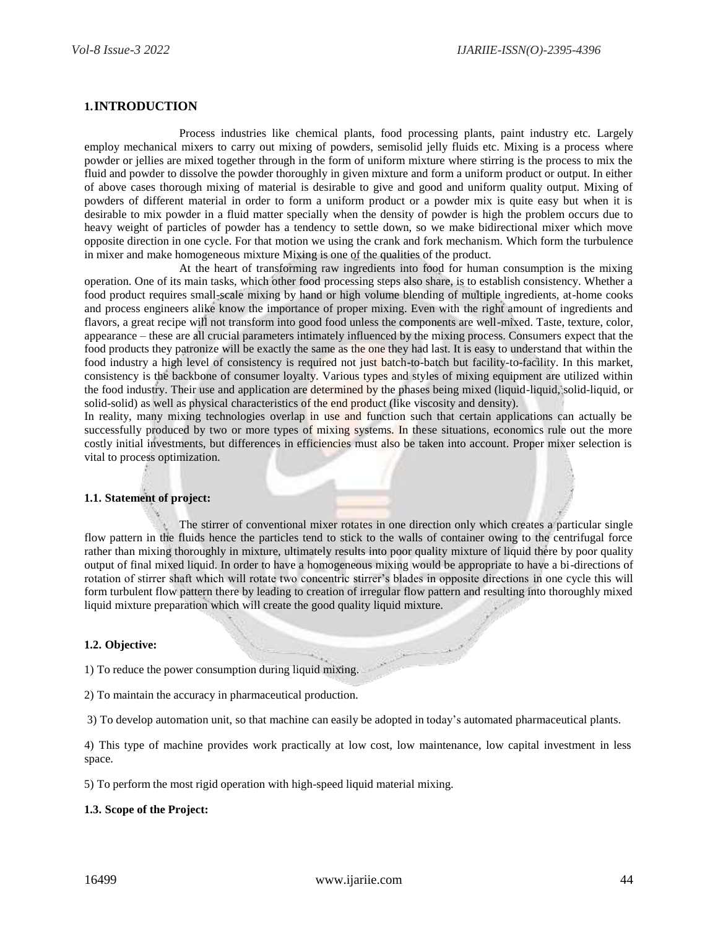## **1.INTRODUCTION**

Process industries like chemical plants, food processing plants, paint industry etc. Largely employ mechanical mixers to carry out mixing of powders, semisolid jelly fluids etc. Mixing is a process where powder or jellies are mixed together through in the form of uniform mixture where stirring is the process to mix the fluid and powder to dissolve the powder thoroughly in given mixture and form a uniform product or output. In either of above cases thorough mixing of material is desirable to give and good and uniform quality output. Mixing of powders of different material in order to form a uniform product or a powder mix is quite easy but when it is desirable to mix powder in a fluid matter specially when the density of powder is high the problem occurs due to heavy weight of particles of powder has a tendency to settle down, so we make bidirectional mixer which move opposite direction in one cycle. For that motion we using the crank and fork mechanism. Which form the turbulence in mixer and make homogeneous mixture Mixing is one of the qualities of the product.

At the heart of transforming raw ingredients into food for human consumption is the mixing operation. One of its main tasks, which other food processing steps also share, is to establish consistency. Whether a food product requires small-scale mixing by hand or high volume blending of multiple ingredients, at-home cooks and process engineers alike know the importance of proper mixing. Even with the right amount of ingredients and flavors, a great recipe will not transform into good food unless the components are well-mixed. Taste, texture, color, appearance – these are all crucial parameters intimately influenced by the mixing process. Consumers expect that the food products they patronize will be exactly the same as the one they had last. It is easy to understand that within the food industry a high level of consistency is required not just batch-to-batch but facility-to-facility. In this market, consistency is the backbone of consumer loyalty. Various types and styles of mixing equipment are utilized within the food industry. Their use and application are determined by the phases being mixed (liquid-liquid, solid-liquid, or solid-solid) as well as physical characteristics of the end product (like viscosity and density).

In reality, many mixing technologies overlap in use and function such that certain applications can actually be successfully produced by two or more types of mixing systems. In these situations, economics rule out the more costly initial investments, but differences in efficiencies must also be taken into account. Proper mixer selection is vital to process optimization.

#### **1.1. Statement of project:**

The stirrer of conventional mixer rotates in one direction only which creates a particular single flow pattern in the fluids hence the particles tend to stick to the walls of container owing to the centrifugal force rather than mixing thoroughly in mixture, ultimately results into poor quality mixture of liquid there by poor quality output of final mixed liquid. In order to have a homogeneous mixing would be appropriate to have a bi-directions of rotation of stirrer shaft which will rotate two concentric stirrer's blades in opposite directions in one cycle this will form turbulent flow pattern there by leading to creation of irregular flow pattern and resulting into thoroughly mixed liquid mixture preparation which will create the good quality liquid mixture.

#### **1.2. Objective:**

1) To reduce the power consumption during liquid mixing.

2) To maintain the accuracy in pharmaceutical production.

3) To develop automation unit, so that machine can easily be adopted in today's automated pharmaceutical plants.

4) This type of machine provides work practically at low cost, low maintenance, low capital investment in less space.

5) To perform the most rigid operation with high-speed liquid material mixing.

#### **1.3. Scope of the Project:**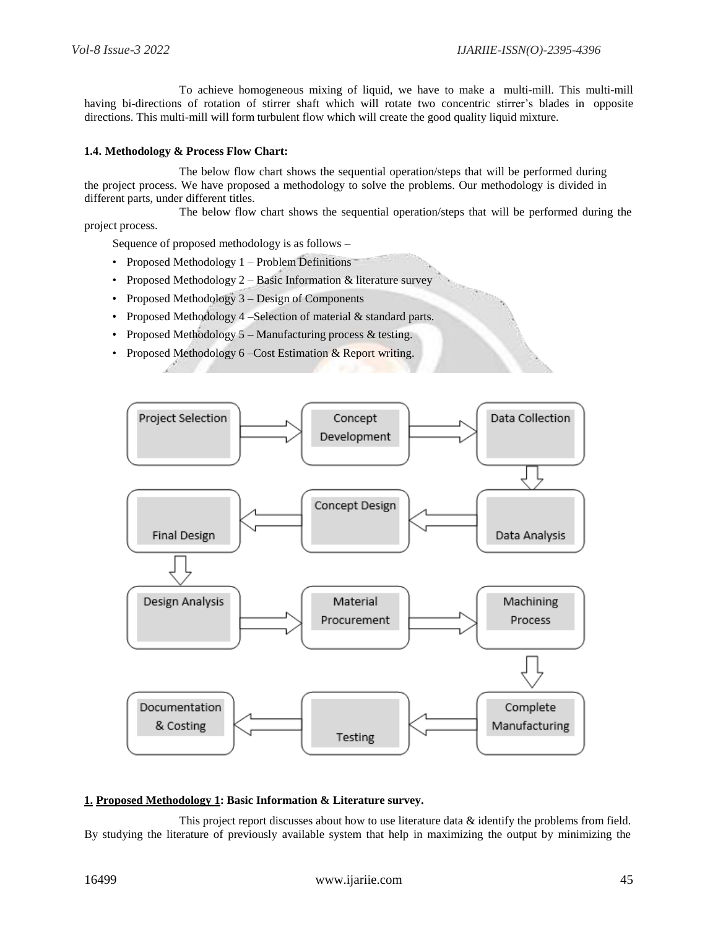To achieve homogeneous mixing of liquid, we have to make a multi-mill. This multi-mill having bi-directions of rotation of stirrer shaft which will rotate two concentric stirrer's blades in opposite directions. This multi-mill will form turbulent flow which will create the good quality liquid mixture.

## **1.4. Methodology & Process Flow Chart:**

The below flow chart shows the sequential operation/steps that will be performed during the project process. We have proposed a methodology to solve the problems. Our methodology is divided in different parts, under different titles.

The below flow chart shows the sequential operation/steps that will be performed during the project process.

Sequence of proposed methodology is as follows –

- Proposed Methodology 1 Problem Definitions
- Proposed Methodology 2 Basic Information & literature survey
- Proposed Methodology 3 Design of Components
- Proposed Methodology 4 –Selection of material & standard parts.
- Proposed Methodology 5 Manufacturing process & testing.
- Proposed Methodology 6 Cost Estimation & Report writing.



#### **1. Proposed Methodology 1: Basic Information & Literature survey.**

This project report discusses about how to use literature data  $\&$  identify the problems from field. By studying the literature of previously available system that help in maximizing the output by minimizing the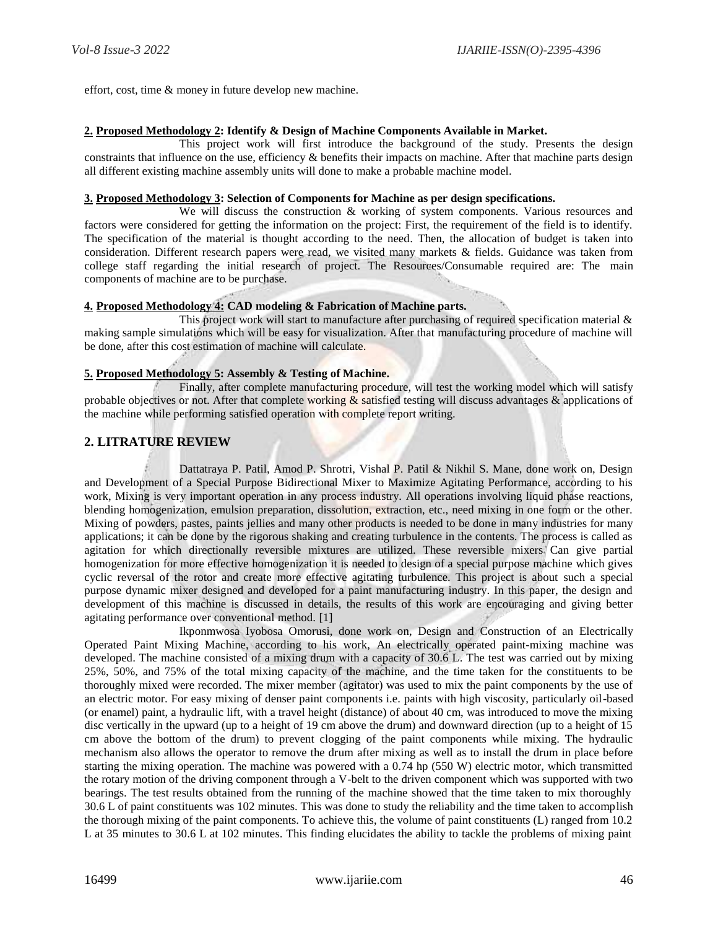effort, cost, time & money in future develop new machine.

#### **2. Proposed Methodology 2: Identify & Design of Machine Components Available in Market.**

This project work will first introduce the background of the study. Presents the design constraints that influence on the use, efficiency  $\&$  benefits their impacts on machine. After that machine parts design all different existing machine assembly units will done to make a probable machine model.

#### **3. Proposed Methodology 3: Selection of Components for Machine as per design specifications.**

We will discuss the construction & working of system components. Various resources and factors were considered for getting the information on the project: First, the requirement of the field is to identify. The specification of the material is thought according to the need. Then, the allocation of budget is taken into consideration. Different research papers were read, we visited many markets & fields. Guidance was taken from college staff regarding the initial research of project. The Resources/Consumable required are: The main components of machine are to be purchase.

# **4. Proposed Methodology 4: CAD modeling & Fabrication of Machine parts.**

This project work will start to manufacture after purchasing of required specification material  $\&$ making sample simulations which will be easy for visualization. After that manufacturing procedure of machine will be done, after this cost estimation of machine will calculate.

## **5. Proposed Methodology 5: Assembly & Testing of Machine.**

Finally, after complete manufacturing procedure, will test the working model which will satisfy probable objectives or not. After that complete working & satisfied testing will discuss advantages & applications of the machine while performing satisfied operation with complete report writing.

# **2. LITRATURE REVIEW**

Dattatraya P. Patil, Amod P. Shrotri, Vishal P. Patil & Nikhil S. Mane, done work on, Design and Development of a Special Purpose Bidirectional Mixer to Maximize Agitating Performance, according to his work, Mixing is very important operation in any process industry. All operations involving liquid phase reactions, blending homogenization, emulsion preparation, dissolution, extraction, etc., need mixing in one form or the other. Mixing of powders, pastes, paints jellies and many other products is needed to be done in many industries for many applications; it can be done by the rigorous shaking and creating turbulence in the contents. The process is called as agitation for which directionally reversible mixtures are utilized. These reversible mixers Can give partial homogenization for more effective homogenization it is needed to design of a special purpose machine which gives cyclic reversal of the rotor and create more effective agitating turbulence. This project is about such a special purpose dynamic mixer designed and developed for a paint manufacturing industry. In this paper, the design and development of this machine is discussed in details, the results of this work are encouraging and giving better agitating performance over conventional method. [1]

Ikponmwosa Iyobosa Omorusi, done work on, Design and Construction of an Electrically Operated Paint Mixing Machine, according to his work, An electrically operated paint-mixing machine was developed. The machine consisted of a mixing drum with a capacity of 30.6 L. The test was carried out by mixing 25%, 50%, and 75% of the total mixing capacity of the machine, and the time taken for the constituents to be thoroughly mixed were recorded. The mixer member (agitator) was used to mix the paint components by the use of an electric motor. For easy mixing of denser paint components i.e. paints with high viscosity, particularly oil-based (or enamel) paint, a hydraulic lift, with a travel height (distance) of about 40 cm, was introduced to move the mixing disc vertically in the upward (up to a height of 19 cm above the drum) and downward direction (up to a height of 15 cm above the bottom of the drum) to prevent clogging of the paint components while mixing. The hydraulic mechanism also allows the operator to remove the drum after mixing as well as to install the drum in place before starting the mixing operation. The machine was powered with a 0.74 hp (550 W) electric motor, which transmitted the rotary motion of the driving component through a V-belt to the driven component which was supported with two bearings. The test results obtained from the running of the machine showed that the time taken to mix thoroughly 30.6 L of paint constituents was 102 minutes. This was done to study the reliability and the time taken to accomplish the thorough mixing of the paint components. To achieve this, the volume of paint constituents (L) ranged from 10.2 L at 35 minutes to 30.6 L at 102 minutes. This finding elucidates the ability to tackle the problems of mixing paint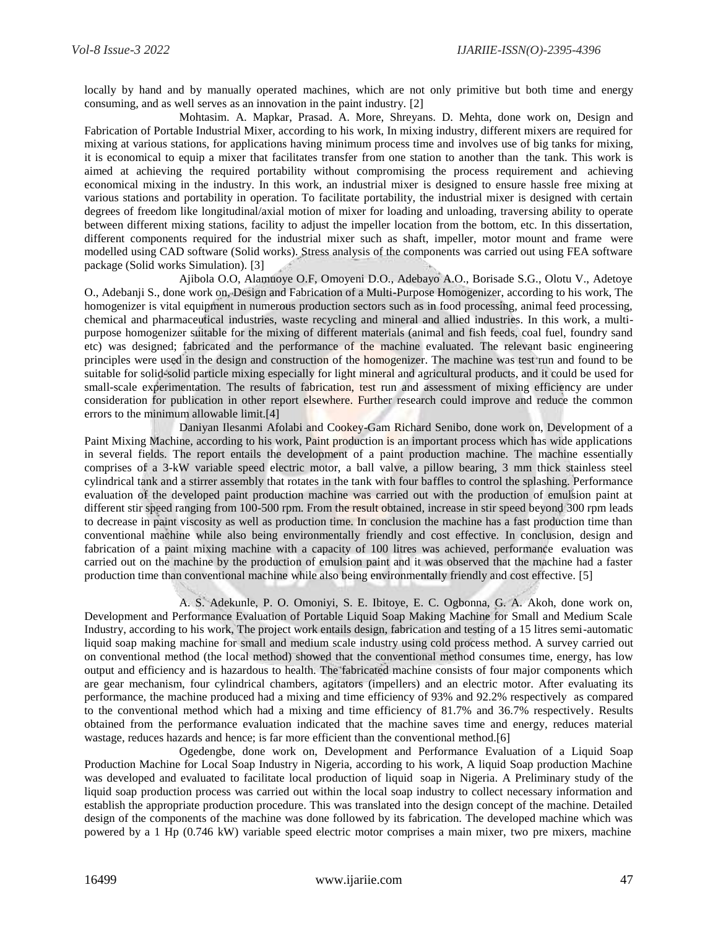locally by hand and by manually operated machines, which are not only primitive but both time and energy consuming, and as well serves as an innovation in the paint industry. [2]

Mohtasim. A. Mapkar, Prasad. A. More, Shreyans. D. Mehta, done work on, Design and Fabrication of Portable Industrial Mixer, according to his work, In mixing industry, different mixers are required for mixing at various stations, for applications having minimum process time and involves use of big tanks for mixing, it is economical to equip a mixer that facilitates transfer from one station to another than the tank. This work is aimed at achieving the required portability without compromising the process requirement and achieving economical mixing in the industry. In this work, an industrial mixer is designed to ensure hassle free mixing at various stations and portability in operation. To facilitate portability, the industrial mixer is designed with certain degrees of freedom like longitudinal/axial motion of mixer for loading and unloading, traversing ability to operate between different mixing stations, facility to adjust the impeller location from the bottom, etc. In this dissertation, different components required for the industrial mixer such as shaft, impeller, motor mount and frame were modelled using CAD software (Solid works). Stress analysis of the components was carried out using FEA software package (Solid works Simulation). [3]

Ajibola O.O, Alamuoye O.F, Omoyeni D.O., Adebayo A.O., Borisade S.G., Olotu V., Adetoye O., Adebanji S., done work on, Design and Fabrication of a Multi-Purpose Homogenizer, according to his work, The homogenizer is vital equipment in numerous production sectors such as in food processing, animal feed processing, chemical and pharmaceutical industries, waste recycling and mineral and allied industries. In this work, a multipurpose homogenizer suitable for the mixing of different materials (animal and fish feeds, coal fuel, foundry sand etc) was designed; fabricated and the performance of the machine evaluated. The relevant basic engineering principles were used in the design and construction of the homogenizer. The machine was test run and found to be suitable for solid-solid particle mixing especially for light mineral and agricultural products, and it could be used for small-scale experimentation. The results of fabrication, test run and assessment of mixing efficiency are under consideration for publication in other report elsewhere. Further research could improve and reduce the common errors to the minimum allowable limit.[4]

Daniyan Ilesanmi Afolabi and Cookey-Gam Richard Senibo, done work on, Development of a Paint Mixing Machine, according to his work, Paint production is an important process which has wide applications in several fields. The report entails the development of a paint production machine. The machine essentially comprises of a 3-kW variable speed electric motor, a ball valve, a pillow bearing, 3 mm thick stainless steel cylindrical tank and a stirrer assembly that rotates in the tank with four baffles to control the splashing. Performance evaluation of the developed paint production machine was carried out with the production of emulsion paint at different stir speed ranging from 100-500 rpm. From the result obtained, increase in stir speed beyond 300 rpm leads to decrease in paint viscosity as well as production time. In conclusion the machine has a fast production time than conventional machine while also being environmentally friendly and cost effective. In conclusion, design and fabrication of a paint mixing machine with a capacity of 100 litres was achieved, performance evaluation was carried out on the machine by the production of emulsion paint and it was observed that the machine had a faster production time than conventional machine while also being environmentally friendly and cost effective. [5]

A. S. Adekunle, P. O. Omoniyi, S. E. Ibitoye, E. C. Ogbonna, G. A. Akoh, done work on, Development and Performance Evaluation of Portable Liquid Soap Making Machine for Small and Medium Scale Industry, according to his work, The project work entails design, fabrication and testing of a 15 litres semi-automatic liquid soap making machine for small and medium scale industry using cold process method. A survey carried out on conventional method (the local method) showed that the conventional method consumes time, energy, has low output and efficiency and is hazardous to health. The fabricated machine consists of four major components which are gear mechanism, four cylindrical chambers, agitators (impellers) and an electric motor. After evaluating its performance, the machine produced had a mixing and time efficiency of 93% and 92.2% respectively as compared to the conventional method which had a mixing and time efficiency of 81.7% and 36.7% respectively. Results obtained from the performance evaluation indicated that the machine saves time and energy, reduces material wastage, reduces hazards and hence; is far more efficient than the conventional method.[6]

Ogedengbe, done work on, Development and Performance Evaluation of a Liquid Soap Production Machine for Local Soap Industry in Nigeria, according to his work, A liquid Soap production Machine was developed and evaluated to facilitate local production of liquid soap in Nigeria. A Preliminary study of the liquid soap production process was carried out within the local soap industry to collect necessary information and establish the appropriate production procedure. This was translated into the design concept of the machine. Detailed design of the components of the machine was done followed by its fabrication. The developed machine which was powered by a 1 Hp (0.746 kW) variable speed electric motor comprises a main mixer, two pre mixers, machine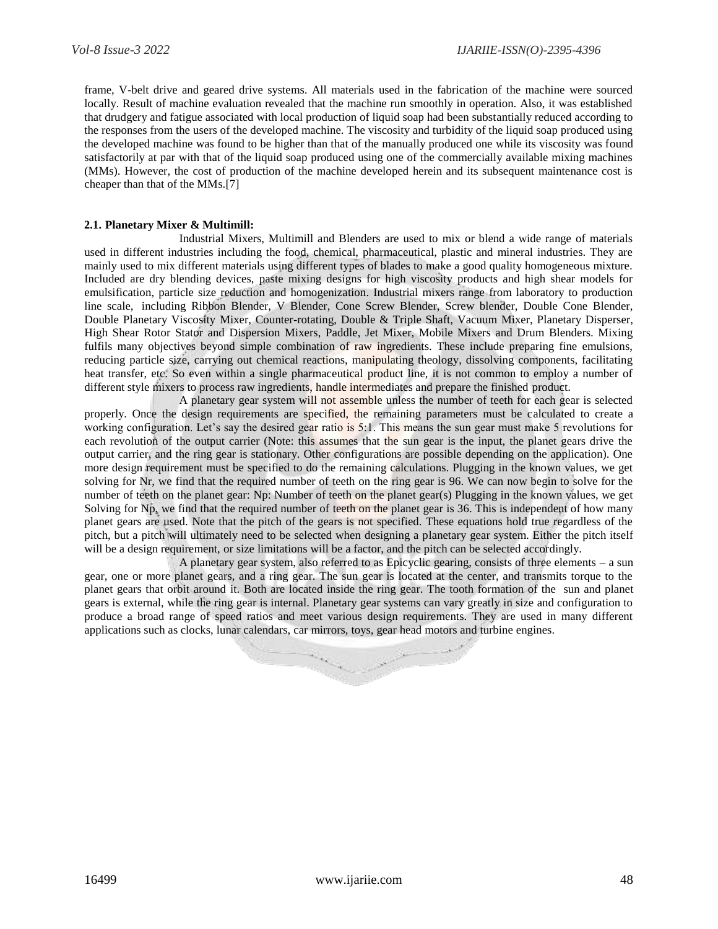frame, V-belt drive and geared drive systems. All materials used in the fabrication of the machine were sourced locally. Result of machine evaluation revealed that the machine run smoothly in operation. Also, it was established that drudgery and fatigue associated with local production of liquid soap had been substantially reduced according to the responses from the users of the developed machine. The viscosity and turbidity of the liquid soap produced using the developed machine was found to be higher than that of the manually produced one while its viscosity was found satisfactorily at par with that of the liquid soap produced using one of the commercially available mixing machines (MMs). However, the cost of production of the machine developed herein and its subsequent maintenance cost is cheaper than that of the MMs.[7]

#### **2.1. Planetary Mixer & Multimill:**

Industrial Mixers, Multimill and Blenders are used to mix or blend a wide range of materials used in different industries including the food, chemical, pharmaceutical, plastic and mineral industries. They are mainly used to mix different materials using different types of blades to make a good quality homogeneous mixture. Included are dry blending devices, paste mixing designs for high viscosity products and high shear models for emulsification, particle size reduction and homogenization. Industrial mixers range from laboratory to production line scale, including Ribbon Blender, V Blender, Cone Screw Blender, Screw blender, Double Cone Blender, Double Planetary Viscosity Mixer, Counter-rotating, Double & Triple Shaft, Vacuum Mixer, Planetary Disperser, High Shear Rotor Stator and Dispersion Mixers, Paddle, Jet Mixer, Mobile Mixers and Drum Blenders. Mixing fulfils many objectives beyond simple combination of raw ingredients. These include preparing fine emulsions, reducing particle size, carrying out chemical reactions, manipulating theology, dissolving components, facilitating heat transfer, etc. So even within a single pharmaceutical product line, it is not common to employ a number of different style mixers to process raw ingredients, handle intermediates and prepare the finished product.

A planetary gear system will not assemble unless the number of teeth for each gear is selected properly. Once the design requirements are specified, the remaining parameters must be calculated to create a working configuration. Let's say the desired gear ratio is 5:1. This means the sun gear must make 5 revolutions for each revolution of the output carrier (Note: this assumes that the sun gear is the input, the planet gears drive the output carrier, and the ring gear is stationary. Other configurations are possible depending on the application). One more design requirement must be specified to do the remaining calculations. Plugging in the known values, we get solving for Nr, we find that the required number of teeth on the ring gear is 96. We can now begin to solve for the number of teeth on the planet gear: Np: Number of teeth on the planet gear(s) Plugging in the known values, we get Solving for Np, we find that the required number of teeth on the planet gear is 36. This is independent of how many planet gears are used. Note that the pitch of the gears is not specified. These equations hold true regardless of the pitch, but a pitch will ultimately need to be selected when designing a planetary gear system. Either the pitch itself will be a design requirement, or size limitations will be a factor, and the pitch can be selected accordingly.

A planetary gear system, also referred to as Epicyclic gearing, consists of three elements – a sun gear, one or more planet gears, and a ring gear. The sun gear is located at the center, and transmits torque to the planet gears that orbit around it. Both are located inside the ring gear. The tooth formation of the sun and planet gears is external, while the ring gear is internal. Planetary gear systems can vary greatly in size and configuration to produce a broad range of speed ratios and meet various design requirements. They are used in many different applications such as clocks, lunar calendars, car mirrors, toys, gear head motors and turbine engines.

![](_page_5_Picture_7.jpeg)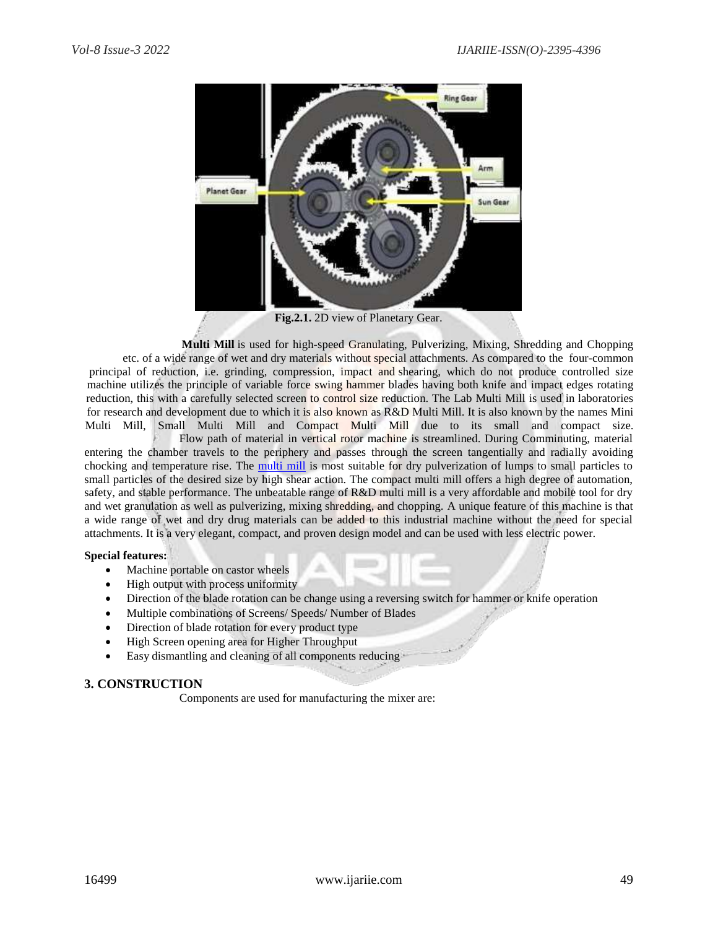![](_page_6_Figure_2.jpeg)

**Fig.2.1.** 2D view of Planetary Gear.

**Multi Mill** is used for high-speed Granulating, Pulverizing, Mixing, Shredding and Chopping etc. of a wide range of wet and dry materials without special attachments. As compared to the four-common principal of reduction, i.e. grinding, compression, impact and shearing, which do not produce controlled size machine utilizes the principle of variable force swing hammer blades having both knife and impact edges rotating reduction, this with a carefully selected screen to control size reduction. The Lab Multi Mill is used in laboratories for research and development due to which it is also known as R&D Multi Mill. It is also known by the names Mini Multi Mill, Small Multi Mill and Compact Multi Mill due to its small and compact size.

Flow path of material in vertical rotor machine is streamlined. During Comminuting, material entering the chamber travels to the periphery and passes through the screen tangentially and radially avoiding chocking and temperature rise. The [multi mill](https://www.syrupmanufacturingplant.com/multi-mill.html) is most suitable for dry pulverization of lumps to small particles to small particles of the desired size by high shear action. The compact multi mill offers a high degree of automation, safety, and stable performance. The unbeatable range of R&D multi mill is a very affordable and mobile tool for dry and wet granulation as well as pulverizing, mixing shredding, and chopping. A unique feature of this machine is that a wide range of wet and dry drug materials can be added to this industrial machine without the need for special attachments. It is a very elegant, compact, and proven design model and can be used with less electric power.

#### **Special features:**

- Machine portable on castor wheels
- High output with process uniformity
- Direction of the blade rotation can be change using a reversing switch for hammer or knife operation
- Multiple combinations of Screens/ Speeds/ Number of Blades
- Direction of blade rotation for every product type
- High Screen opening area for Higher Throughput
- Easy dismantling and cleaning of all components reducing

# **3. CONSTRUCTION**

Components are used for manufacturing the mixer are: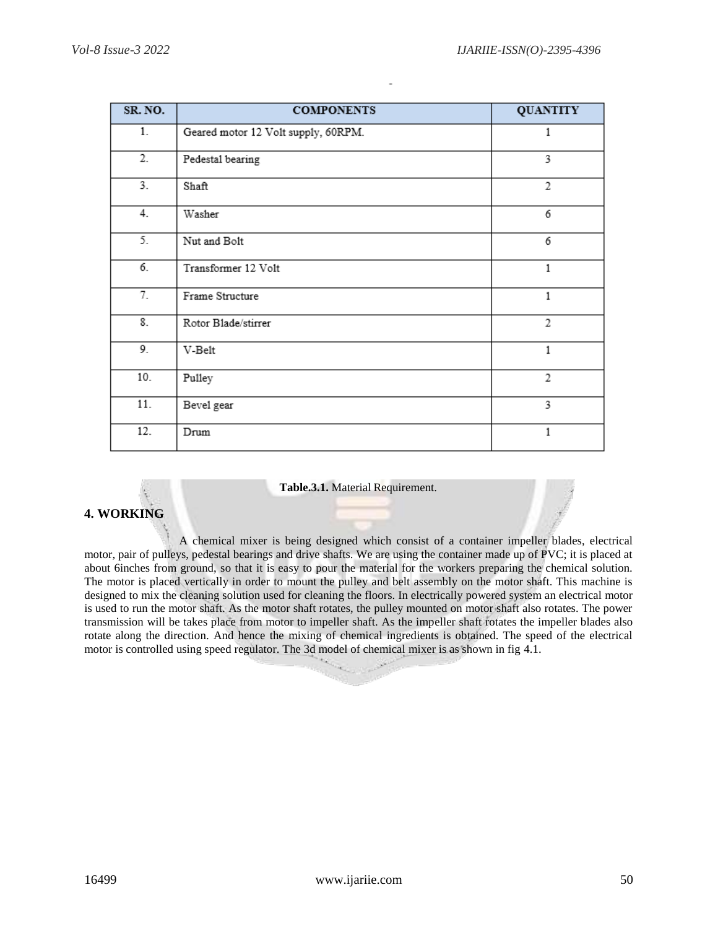| SR. NO. | <b>COMPONENTS</b>                   | <b>QUANTITY</b> |
|---------|-------------------------------------|-----------------|
| 1.      | Geared motor 12 Volt supply, 60RPM. | 1               |
| 2.      | Pedestal bearing                    | 3               |
| 3.      | Shaft                               | $\overline{2}$  |
| 4.      | Washer                              | 6               |
| 5.      | Nut and Bolt                        | 6               |
| 6.      | Transformer 12 Volt                 | 1               |
| 7.      | Frame Structure                     | 1               |
| 8.      | Rotor Blade/stirrer                 | 2               |
| 9.      | V-Belt                              | 1               |
| 10.     | Pulley                              | $\overline{2}$  |
| 11.     | Bevel gear                          | 3               |
| 12.     | Drum                                | 1               |

#### **Table.3.1.** Material Requirement.

# **4. WORKING**

A chemical mixer is being designed which consist of a container impeller blades, electrical motor, pair of pulleys, pedestal bearings and drive shafts. We are using the container made up of PVC; it is placed at about 6inches from ground, so that it is easy to pour the material for the workers preparing the chemical solution. The motor is placed vertically in order to mount the pulley and belt assembly on the motor shaft. This machine is designed to mix the cleaning solution used for cleaning the floors. In electrically powered system an electrical motor is used to run the motor shaft. As the motor shaft rotates, the pulley mounted on motor shaft also rotates. The power transmission will be takes place from motor to impeller shaft. As the impeller shaft rotates the impeller blades also rotate along the direction. And hence the mixing of chemical ingredients is obtained. The speed of the electrical motor is controlled using speed regulator. The 3d model of chemical mixer is as shown in fig 4.1.

S.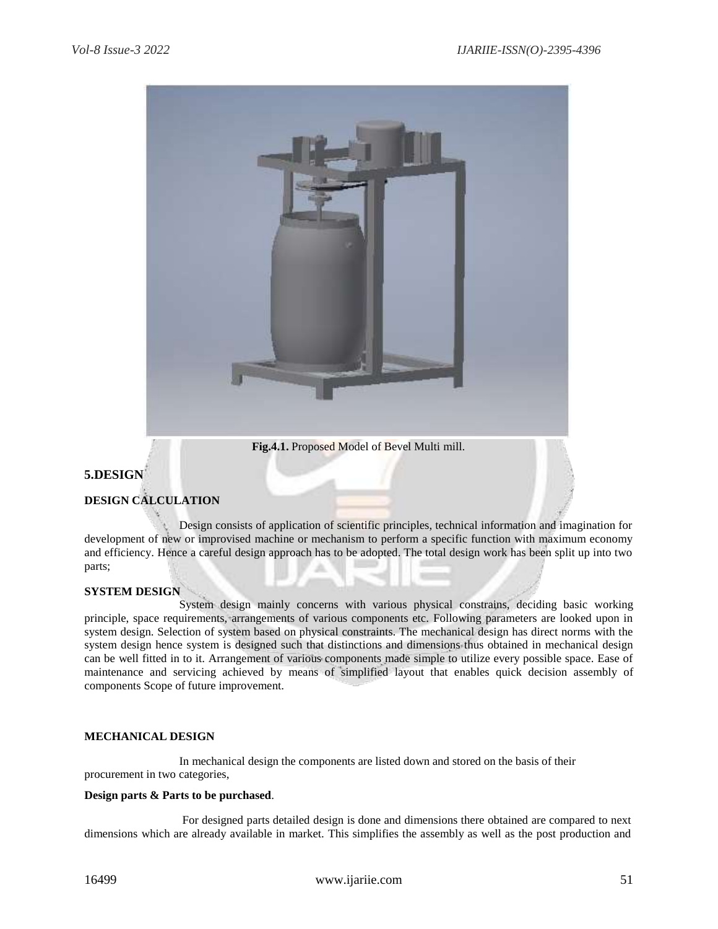![](_page_8_Picture_2.jpeg)

**Fig.4.1.** Proposed Model of Bevel Multi mill.

# **5.DESIGN**

# **DESIGN CALCULATION**

Design consists of application of scientific principles, technical information and imagination for development of new or improvised machine or mechanism to perform a specific function with maximum economy and efficiency. Hence a careful design approach has to be adopted. The total design work has been split up into two parts;

#### **SYSTEM DESIGN**

System design mainly concerns with various physical constrains, deciding basic working principle, space requirements, arrangements of various components etc. Following parameters are looked upon in system design. Selection of system based on physical constraints. The mechanical design has direct norms with the system design hence system is designed such that distinctions and dimensions thus obtained in mechanical design can be well fitted in to it. Arrangement of various components made simple to utilize every possible space. Ease of maintenance and servicing achieved by means of simplified layout that enables quick decision assembly of components Scope of future improvement.

#### **MECHANICAL DESIGN**

In mechanical design the components are listed down and stored on the basis of their procurement in two categories,

#### **Design parts & Parts to be purchased**.

For designed parts detailed design is done and dimensions there obtained are compared to next dimensions which are already available in market. This simplifies the assembly as well as the post production and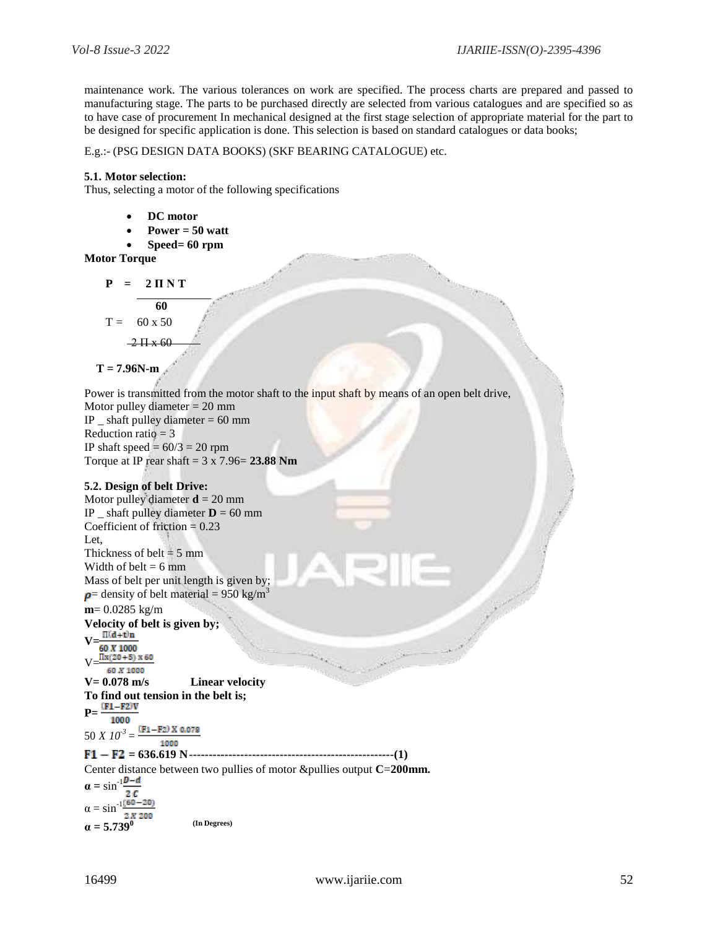maintenance work. The various tolerances on work are specified. The process charts are prepared and passed to manufacturing stage. The parts to be purchased directly are selected from various catalogues and are specified so as to have case of procurement In mechanical designed at the first stage selection of appropriate material for the part to be designed for specific application is done. This selection is based on standard catalogues or data books;

#### E.g.:- (PSG DESIGN DATA BOOKS) (SKF BEARING CATALOGUE) etc.

#### **5.1. Motor selection:**

Thus, selecting a motor of the following specifications

- **DC motor**
- **Power = 50 watt**
- **Speed= 60 rpm**

#### **Motor Torque**

 $P = 2 \Pi N T$ **60**  $T = 60 \times 50$  $-2 \frac{\text{H} \times 60}{\text{H}}$ 

$$
T = 7.96N \cdot m
$$

Power is transmitted from the motor shaft to the input shaft by means of an open belt drive,

Motor pulley diameter = 20 mm IP  $\_$  shaft pulley diameter  $= 60$  mm Reduction ratio  $= 3$ IP shaft speed  $= 60/3 = 20$  rpm Torque at IP rear shaft = 3 x 7.96= **23.88 Nm**

#### **5.2. Design of belt Drive:**

Motor pulley diameter  $\mathbf{d} = 20$  mm IP  $\Delta$  shaft pulley diameter **D** = 60 mm Coefficient of friction  $= 0.23$ Let. Thickness of belt  $= 5$  mm Width of belt  $= 6$  mm Mass of belt per unit length is given by;  $p$ = density of belt material = 950 kg/m<sup>3</sup> **m**= 0.0285 kg/m **Velocity of belt is given by;**  $V=\frac{\Pi(d+1)n}{60 X 1000}$  $V=$ 60 X 1000 **V= 0.078 m/s Linear velocity To find out tension in the belt is; P=** 1000  $(F1 - F2)$  X 0.078 50 *X*  $10^{-3}$  = 1000

#### **= 636.619 N----------------------------------------------------(1)**

Center distance between two pullies of motor &pullies output **C**=**200mm.**

 $\alpha = \sin^{-1}\frac{D-d}{2}$  $2c$  $\alpha = \sin^{-1} \frac{(60 - 20)}{2}$  $2 X 200$  $\alpha = 5.739^{\circ}$  (In Degrees)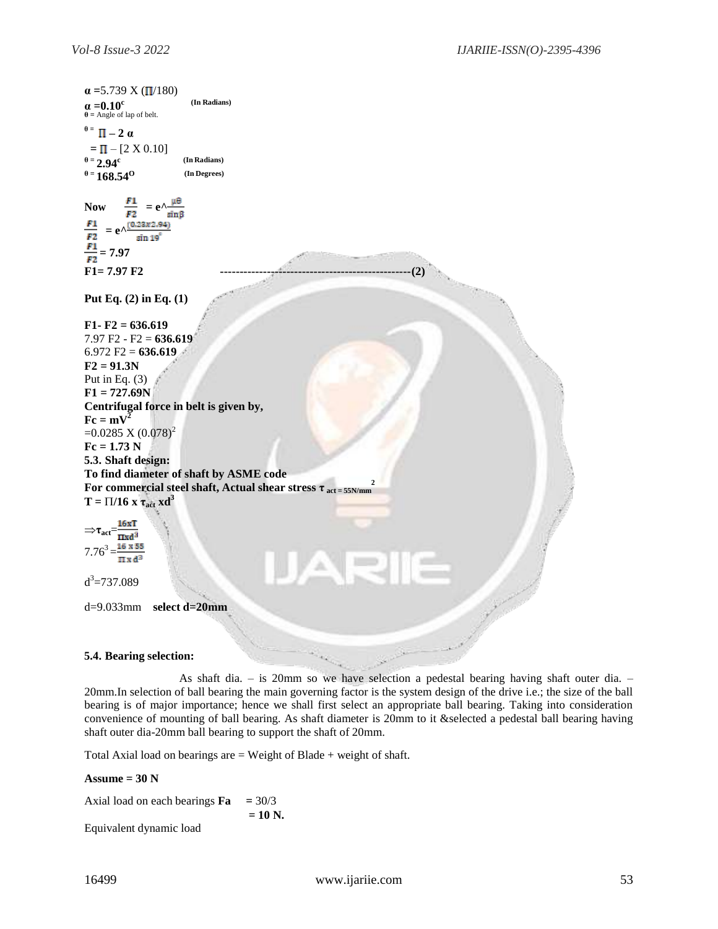![](_page_10_Figure_2.jpeg)

As shaft dia.  $-$  is 20mm so we have selection a pedestal bearing having shaft outer dia.  $-$ 20mm.In selection of ball bearing the main governing factor is the system design of the drive i.e.; the size of the ball bearing is of major importance; hence we shall first select an appropriate ball bearing. Taking into consideration convenience of mounting of ball bearing. As shaft diameter is 20mm to it &selected a pedestal ball bearing having shaft outer dia-20mm ball bearing to support the shaft of 20mm.

Total Axial load on bearings are  $=$  Weight of Blade  $+$  weight of shaft.

#### $\text{Assume} = 30 \text{ N}$

Axial load on each bearings  $\mathbf{Fa} = 30/3$ **= 10 N.** Equivalent dynamic load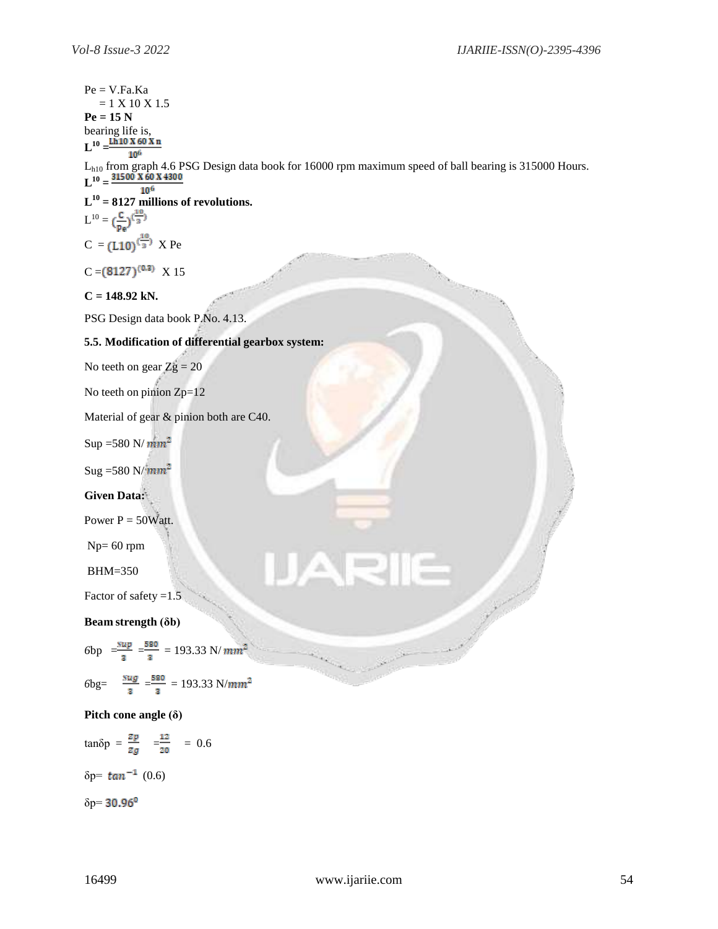```
Pe = V.Fa.Ka= 1 X 10 X 1.5Pe = 15 Nbearing life is,
L^{10} =L<sub>h10</sub> from graph 4.6 PSG Design data book for 16000 rpm maximum speed of ball bearing is 315000 Hours.
L^{10} =106
L
10
= 8127 millions of revolutions.
L^{10} =C = (L10)^{(\frac{10}{3})} X Pe
C = (8127)^{(0.3)} X 15
C = 148.92 kN.
PSG Design data book P.No. 4.13.
5.5. Modification of differential gearbox system:
No teeth on gear Zg = 20No teeth on pinion Zp=12
Material of gear & pinion both are C40.
Sup =580 N/mm^2Sug = 580 N/mm^2Given Data:
Power P = 50Watt.
Np= 60 rpm
BHM=350
Factor of safety =1.5Beam strength (δb)
6bp = \frac{sup}{3} = \frac{580}{3} = 193.33 \text{ N}/mm^2z = \pm 0S.
6\text{bg} = \frac{\text{gug}}{\text{a}} = \frac{580}{\text{a}} = 193.33 \text{ N/mm}^2
```
**Pitch cone angle (δ)**

 $tanδp = \frac{zp}{zg}$   $= \frac{12}{20}$  = 0.6

 $\delta p = \tan^{-1} (0.6)$ 

 $δp=30.96<sup>0</sup>$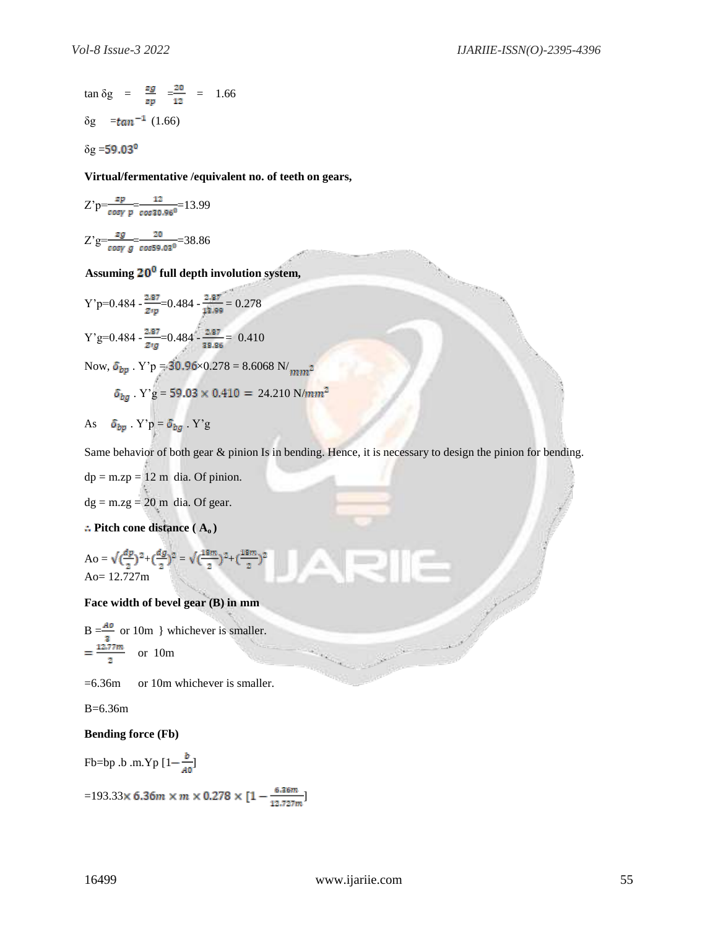$$
\tan \delta g = \frac{zg}{zp} = \frac{z_0}{12} = 1.66
$$
  
 
$$
\delta g = \tan^{-1} (1.66)
$$

 $\delta$ g = 59.03<sup>0</sup>

**Virtual/fermentative /equivalent no. of teeth on gears,**

 $\sim 10^{10}$ 

$$
Z'p = \frac{zp}{\cos\gamma} = \frac{12}{\cos 30.96^0} = 13.99
$$
  

$$
Z'g = \frac{zg}{\cos\gamma} = \frac{20}{\cos 59.03^0} = 38.86
$$

**Assuming full depth involution system,**

Y'p=0.484 - 
$$
\frac{2.87}{zrp}
$$
=0.484 -  $\frac{2.87}{13.99}$  = 0.278  
Y'g=0.484 -  $\frac{2.87}{zrg}$ =0.484 -  $\frac{2.87}{38.86}$  = 0.410

Now,  $\pmb{\delta_{bp}}$  . Y'p = 30.96×0.278 = 8.6068 N/  $_{mm^2}$  $\delta_{bg}$  . Y'g = 59.03  $\times$  0.410 = 24.210 N/mm²

As 
$$
\delta_{bp}
$$
. Y'p =  $\delta_{bg}$ . Y'g

Same behavior of both gear & pinion Is in bending. Hence, it is necessary to design the pinion for bending.

$$
dp = mzp = 12 \text{ m}
$$
dia. Of pinion.  

$$
dg = mzg = 20 \text{ m}
$$
dia. Of gear.

**Pitch cone distance ( A<sup>o</sup> )**

$$
\text{Ao} = \sqrt{\left(\frac{dp}{2}\right)^2 + \left(\frac{dg}{2}\right)^2} = \sqrt{\left(\frac{18m}{2}\right)^2 + \left(\frac{18m}{2}\right)^2}
$$
\n
$$
\text{Ao} = 12.727 \text{m}
$$

## **Face width of bevel gear (B) in mm**

 $B = \frac{A\omega}{\omega}$  or 10m } whichever is smaller. or 10m

=6.36m or 10m whichever is smaller.

#### B=6.36m

## **Bending force (Fb)**

Fb=bp .b .m.Yp  $[1 - \frac{b}{A0}]$ 

=193.33×6.36 $m \times m \times 0.278 \times [1 - \frac{6.36m}{12.727m}]$ 

Service Service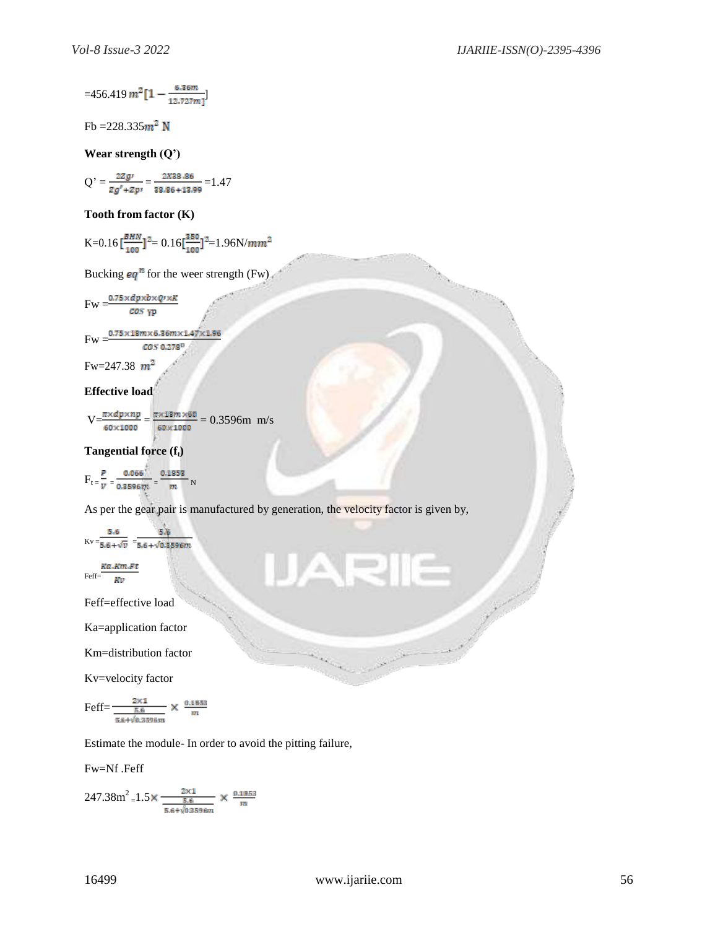$$
\text{=}456.419\,m^2\big[1-\tfrac{6.36m}{12.727m}\big]
$$

Fb =  $228.335$ m<sup>2</sup> N

**Wear strength (Q')**

$$
Q' = \frac{2zg'}{zg'+zp'} = \frac{2x38.86}{38.86+13.99} = 1.47
$$

## **Tooth from factor (K)**

K=0.16 
$$
\left[\frac{BHN}{100}\right]^2
$$
 = 0.16  $\left[\frac{350}{100}\right]^2$  = 1.96N/mm<sup>2</sup>

Bucking  $eq^n$  for the weer strength (Fw)

$$
Fw = \frac{0.75 \times dp \times b \times Q \times K}{\cos \gamma p}
$$

$$
Fw = \frac{0.75 \times 18m \times 6.36m \times 1.47 \times 1.96}{2 \times 1.96m \times 1.47 \times 1.96}
$$

 $COS$  0.278<sup>0</sup>

Fw=247.38  $m^2$ 

## **Effective load**

$$
V = \frac{\pi \times dp \times np}{60 \times 1000} = \frac{\pi \times 18m \times 60}{60 \times 1000} = 0.3596m \text{ m/s}
$$

## **Tangential force (ft)**

 $F_t = \frac{P}{V} = \frac{0.066}{0.3596 m} = \frac{0.1853}{m} N$ 

As per the gear pair is manufactured by generation, the velocity factor is given by,

ANE

$$
Kv = \frac{5.6}{5.6 + \sqrt{v}} = \frac{5.6}{5.6 + \sqrt{0.3596m}}
$$
  
*Ka.Km.Ft*

$$
Feff = \frac{KU}{KV}
$$

Feff=effective load

Ka=application factor

Km=distribution factor

Kv=velocity factor

$$
Feff = \frac{\frac{2 \times 1}{5.6}}{\frac{5.6}{5.6 + \sqrt{0.3596 m}}} \times \frac{0.1853}{m}
$$

Estimate the module- In order to avoid the pitting failure,

Fw=Nf .Feff

$$
247.38 \text{m}^2 \text{=} 1.5 \times \frac{\frac{2 \times 1}{5.6}}{\frac{5.6}{5.6} + \sqrt{0.3596 m}} \times \frac{0.1853}{m}
$$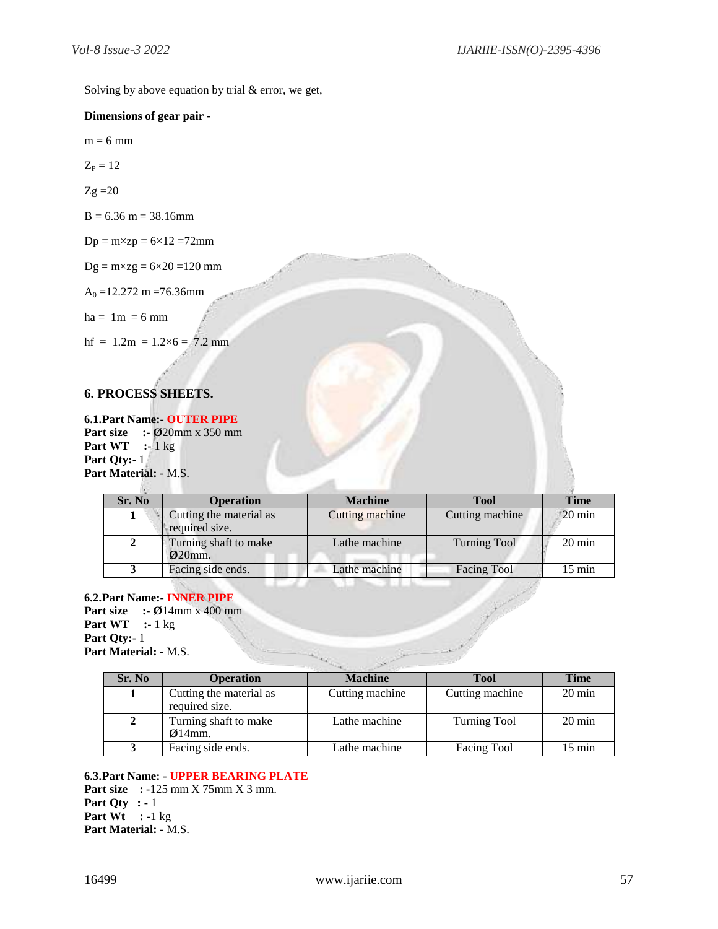Solving by above equation by trial & error, we get,

## **Dimensions of gear pair -**

 $m = 6$  mm

 $Z_P = 12$ 

 $Zg = 20$ 

 $B = 6.36$  m = 38.16mm

 $Dp = m \times zp = 6 \times 12 = 72$ mm

 $Dg = m \times zg = 6 \times 20 = 120$  mm

 $A_0 = 12.272$  m = 76.36mm

 $ha = 1m = 6 mm$ 

hf =  $1.2m = 1.2 \times 6 = 7.2$  mm

# **6. PROCESS SHEETS.**

**6.1.Part Name:- OUTER PIPE Part size :- Ø**20mm x 350 mm **Part WT :-** 1 kg **Part Qty:-** 1 **Part Material: -** M.S.

| Sr. No | <b>Operation</b>                                     | <b>Machine</b>  | <b>Tool</b>         | <b>Time</b>       |
|--------|------------------------------------------------------|-----------------|---------------------|-------------------|
|        | Cutting the material as<br>required size.            | Cutting machine | Cutting machine     | $120 \text{ min}$ |
|        | Turning shaft to make<br>$\boldsymbol{\Omega}$ 20mm. | Lathe machine   | <b>Turning Tool</b> | $20 \text{ min}$  |
|        | Facing side ends.                                    | Lathe machine   | <b>Facing Tool</b>  | $15 \text{ min}$  |

**6.2.Part Name:- INNER PIPE Part size :- Ø**14mm x 400 mm **Part WT :-** 1 kg **Part Qty:-** 1 **Part Material: -** M.S.

| $\mathbf{t} \mathbf{W} \mathbf{T} \quad \text{:=} 1 \text{ kg}$<br>t Qty:- $1$<br>t Material: - M.S. | <b>Part Name: INNER PIPE</b><br><b>t size</b> :- $\varnothing$ 14mm x 400 mm |                 |                     |                  |
|------------------------------------------------------------------------------------------------------|------------------------------------------------------------------------------|-----------------|---------------------|------------------|
| Sr. No                                                                                               | <b>Operation</b>                                                             | <b>Machine</b>  | <b>Tool</b>         | <b>Time</b>      |
|                                                                                                      | Cutting the material as<br>required size.                                    | Cutting machine | Cutting machine     | $20 \text{ min}$ |
| $\mathbf{2}$                                                                                         | Turning shaft to make<br>$Q14$ mm.                                           | Lathe machine   | <b>Turning Tool</b> | $20 \text{ min}$ |
| 3                                                                                                    | Facing side ends.                                                            | Lathe machine   | Facing Tool         | $15 \text{ min}$ |

# **6.3.Part Name: - UPPER BEARING PLATE**

**Part size : -**125 mm X 75mm X 3 mm. **Part Qty : -** 1 **Part Wt : -**1 kg **Part Material: -** M.S.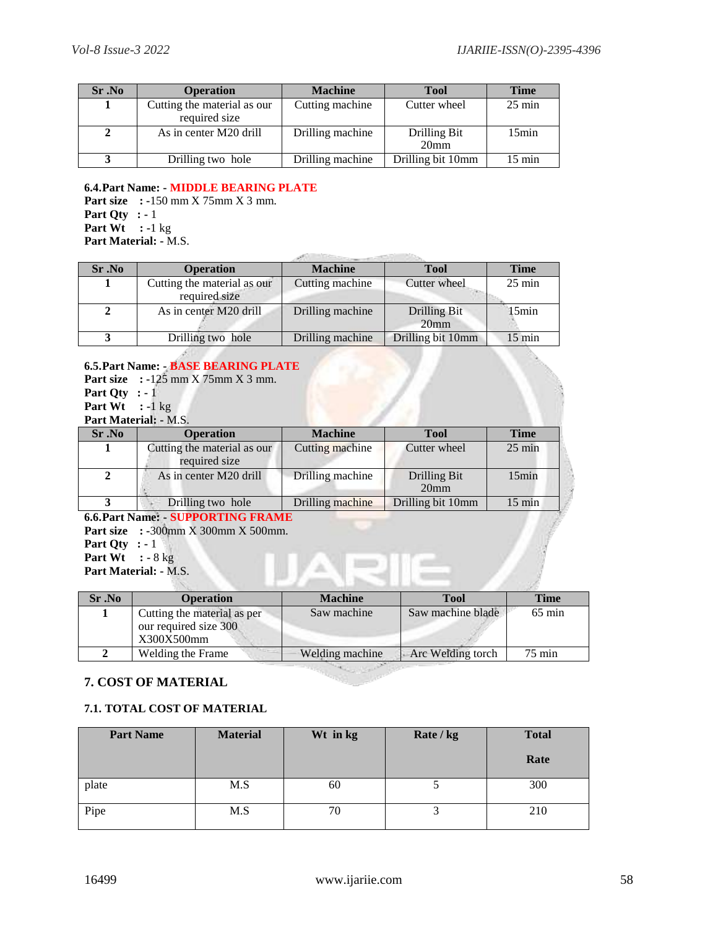| Sr. No | <b>Operation</b>            | <b>Machine</b>   | <b>Tool</b>                             | <b>Time</b>      |
|--------|-----------------------------|------------------|-----------------------------------------|------------------|
|        | Cutting the material as our | Cutting machine  | Cutter wheel                            | $25 \text{ min}$ |
|        | required size               |                  |                                         |                  |
|        | As in center M20 drill      | Drilling machine | <b>Drilling Bit</b><br>20 <sub>mm</sub> | $15$ min         |
|        | Drilling two hole           | Drilling machine | Drilling bit 10mm                       | $15 \text{ min}$ |

## **6.4.Part Name: - MIDDLE BEARING PLATE**

**Part size : -**150 mm X 75mm X 3 mm. **Part Qty : -** 1 **Part Wt : -**1 kg **Part Material: -** M.S.

| Sr. No       | <b>Operation</b>                             | <b>Machine</b>   | <b>Tool</b>                             | <b>Time</b>      |  |
|--------------|----------------------------------------------|------------------|-----------------------------------------|------------------|--|
|              | Cutting the material as our<br>required size | Cutting machine  | Cutter wheel                            | $25 \text{ min}$ |  |
| $\mathbf{2}$ | As in center M20 drill                       | Drilling machine | <b>Drilling Bit</b><br>20 <sub>mm</sub> | 15min            |  |
|              | Drilling two hole                            | Drilling machine | Drilling bit 10mm                       | 15 min           |  |
|              |                                              |                  |                                         |                  |  |

#### **6.5.Part Name: - BASE BEARING PLATE Part size : -**125 mm X 75mm X 3 mm.

- **Part Qty : -** 1
- **Part Wt : -**1 kg

# **Part Material: -** M.S.

| Sr.No | <b>Operation</b>                             | <b>Machine</b>   | Tool                             | <b>Time</b>      |  |
|-------|----------------------------------------------|------------------|----------------------------------|------------------|--|
|       | Cutting the material as our<br>required size | Cutting machine  | Cutter wheel                     | $25 \text{ min}$ |  |
|       | As in center M20 drill                       | Drilling machine | Drilling Bit<br>20 <sub>mm</sub> | 15min            |  |
|       | Drilling two hole                            | Drilling machine | Drilling bit 10mm                | $15 \text{ min}$ |  |

**6.6.Part Name: - SUPPORTING FRAME**

**Part size : -**300mm X 300mm X 500mm. **Part Qty : -** 1 **Part Wt : -** 8 kg **Part Material: -** M.S.

| Sr. No | <b>Operation</b>                                                   | <b>Machine</b>  | Tool              | <b>Time</b>      |
|--------|--------------------------------------------------------------------|-----------------|-------------------|------------------|
|        | Cutting the material as per<br>our required size 300<br>X300X500mm | Saw machine     | Saw machine blade | $65 \text{ min}$ |
|        | Welding the Frame                                                  | Welding machine | Arc Welding torch | $75 \text{ min}$ |
|        |                                                                    |                 |                   |                  |

# **7. COST OF MATERIAL**

# **7.1. TOTAL COST OF MATERIAL**

| <b>Part Name</b> | <b>Material</b> | Wt in kg | Rate / kg | <b>Total</b><br>Rate |
|------------------|-----------------|----------|-----------|----------------------|
| plate            | M.S             | 60       |           | 300                  |
| Pipe             | M.S             | 70       |           | 210                  |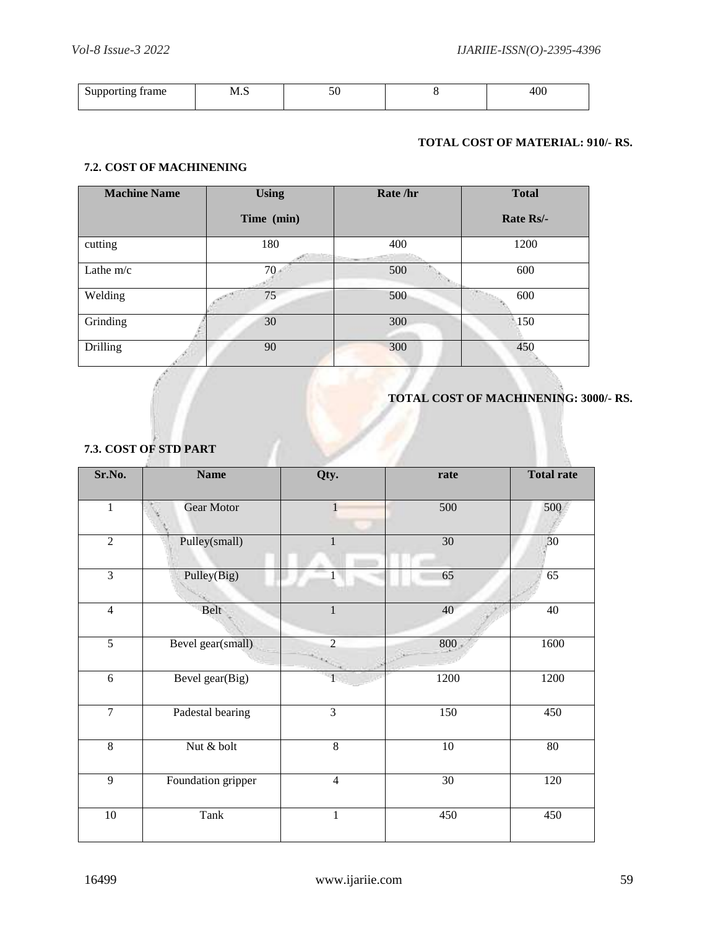| trame<br>.<br><br>.<br>ິ | N/I<br><b>TAT'T</b> |  |  |
|--------------------------|---------------------|--|--|
|                          |                     |  |  |

# **TOTAL COST OF MATERIAL: 910/- RS.**

## **7.2. COST OF MACHINENING**

| <b>Machine Name</b> | <b>Using</b> | Rate /hr | <b>Total</b>     |
|---------------------|--------------|----------|------------------|
|                     | Time (min)   |          | <b>Rate Rs/-</b> |
| cutting             | 180          | 400      | 1200             |
| Lathe $m/c$         | 70           | 500      | 600              |
| Welding             | 75           | 500      | 600              |
| Grinding            | 30           | 300      | 150              |
| <b>Drilling</b>     | 90           | 300      | 450              |

# **TOTAL COST OF MACHINENING: 3000/- RS.**

| Sr.No.         | <b>Name</b>        | Qty.           | rate            | <b>Total rate</b> |
|----------------|--------------------|----------------|-----------------|-------------------|
| $\mathbf{1}$   | <b>Gear Motor</b>  | $\mathbf{1}$   | 500             | 500               |
| $\overline{2}$ | Pulley(small)      | 1              | $\overline{30}$ | ,30               |
| $\overline{3}$ | Pulley(Big)        |                | 65              | 65                |
| $\overline{4}$ | Belt               | $\mathbf{1}$   | 40              | 40                |
| $\overline{5}$ | Bevel gear(small)  | $\overline{2}$ | 800             | 1600              |
| $\overline{6}$ | Bevel gear(Big)    |                | 1200            | 1200              |
| $\overline{7}$ | Padestal bearing   | 3              | 150             | 450               |
| $\overline{8}$ | Nut & bolt         | $\overline{8}$ | $10\,$          | $80\,$            |
| $\overline{9}$ | Foundation gripper | $\overline{4}$ | $\overline{30}$ | 120               |
| $10\,$         | Tank               | $\mathbf{1}$   | 450             | 450               |

# **7.3. COST OF STD PART**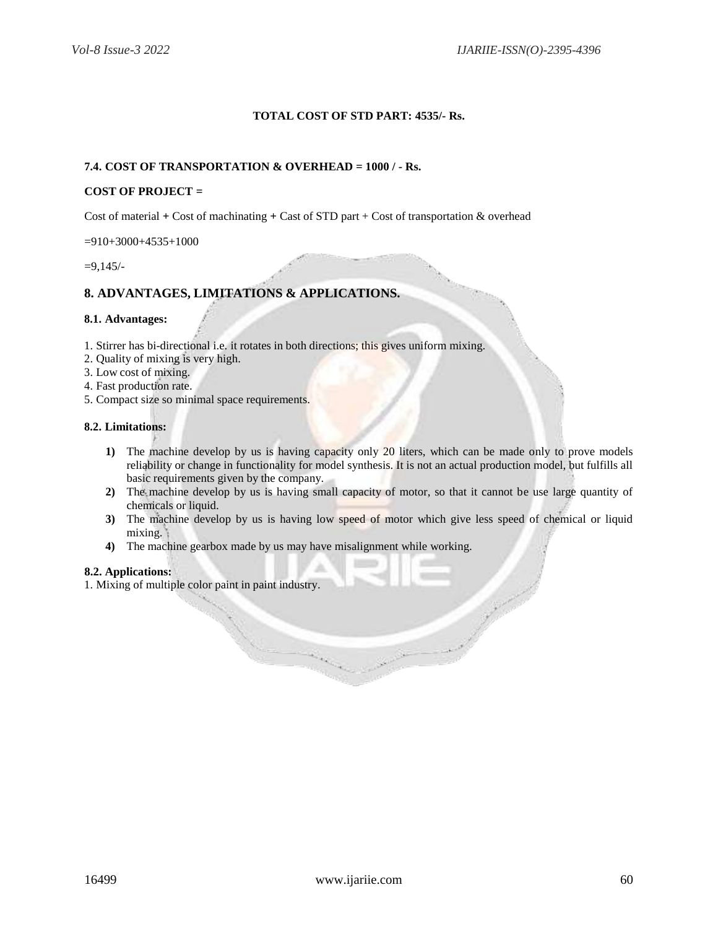## **TOTAL COST OF STD PART: 4535/- Rs.**

## **7.4. COST OF TRANSPORTATION & OVERHEAD = 1000 / - Rs.**

## **COST OF PROJECT =**

Cost of material **+** Cost of machinating **+** Cast of STD part + Cost of transportation & overhead

 $=910+3000+4535+1000$ 

=9,145/-

# **8. ADVANTAGES, LIMITATIONS & APPLICATIONS.**

#### **8.1. Advantages:**

- 1. Stirrer has bi-directional i.e. it rotates in both directions; this gives uniform mixing.
- 2. Quality of mixing is very high.
- 3. Low cost of mixing.
- 4. Fast production rate.
- 5. Compact size so minimal space requirements.

#### **8.2. Limitations:**

- **1)** The machine develop by us is having capacity only 20 liters, which can be made only to prove models reliability or change in functionality for model synthesis. It is not an actual production model, but fulfills all basic requirements given by the company.
- **2)** The machine develop by us is having small capacity of motor, so that it cannot be use large quantity of chemicals or liquid.
- **3)** The machine develop by us is having low speed of motor which give less speed of chemical or liquid mixing.

Charles Constant

**4)** The machine gearbox made by us may have misalignment while working.

#### **8.2. Applications:**

1. Mixing of multiple color paint in paint industry.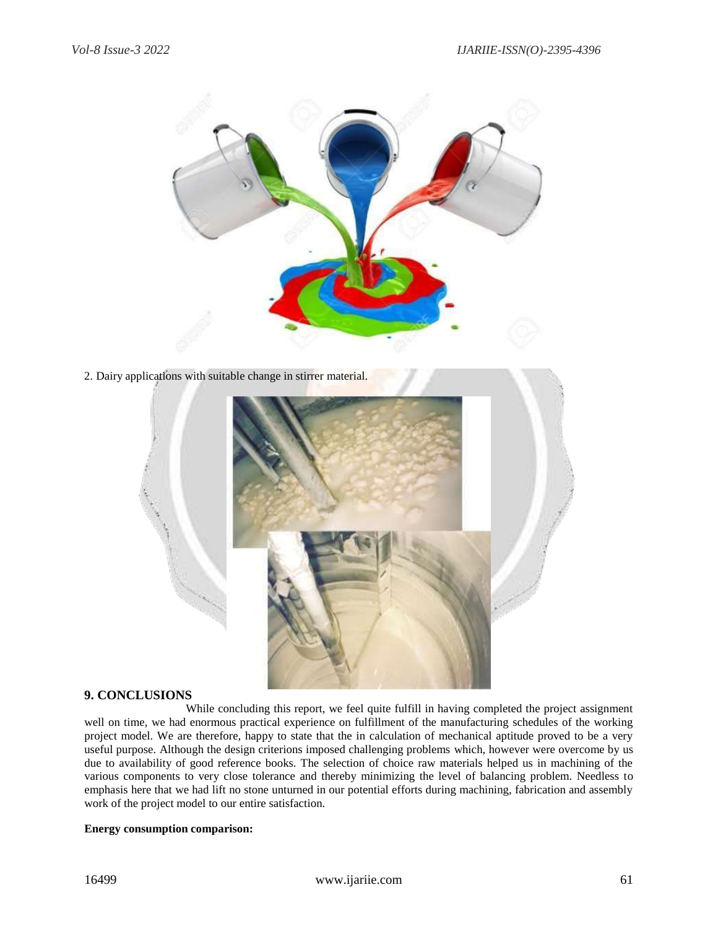![](_page_18_Picture_2.jpeg)

2. Dairy applications with suitable change in stirrer material.

![](_page_18_Picture_4.jpeg)

#### **9. CONCLUSIONS**

While concluding this report, we feel quite fulfill in having completed the project assignment well on time, we had enormous practical experience on fulfillment of the manufacturing schedules of the working project model. We are therefore, happy to state that the in calculation of mechanical aptitude proved to be a very useful purpose. Although the design criterions imposed challenging problems which, however were overcome by us due to availability of good reference books. The selection of choice raw materials helped us in machining of the various components to very close tolerance and thereby minimizing the level of balancing problem. Needless to emphasis here that we had lift no stone unturned in our potential efforts during machining, fabrication and assembly work of the project model to our entire satisfaction.

#### **Energy consumption comparison:**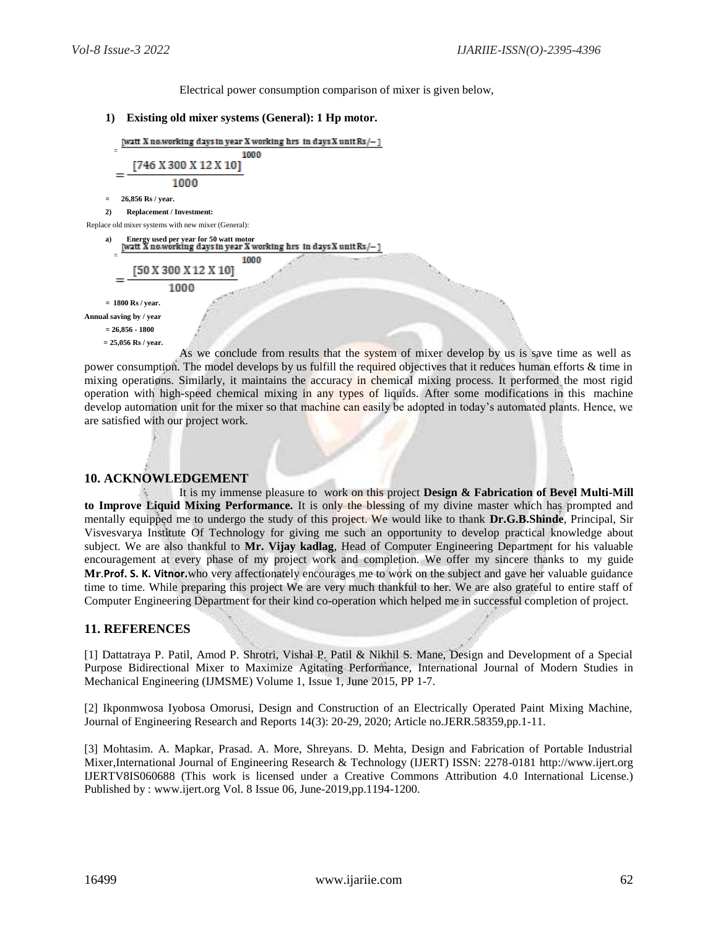Electrical power consumption comparison of mixer is given below,

#### **1) Existing old mixer systems (General): 1 Hp motor.**

[watt X no.working days in year X working hrs in days X unit Rs/-] = 1000

 $[746 X 300 X 12 X 10]$  $\equiv$ 

1000

**= 26,856 Rs / year.**

**2) Replacement / Investment:**

Replace old mixer systems with new mixer (General):

**a) Energy used per year for 50 watt motor**

1000

[50 X 300 X 12 X 10]

1000

**= 1800 Rs / year.**

**Annual saving by / year**

=

**= 26,856 - 1800**

**= 25,056 Rs / year.**

As we conclude from results that the system of mixer develop by us is save time as well as power consumption. The model develops by us fulfill the required objectives that it reduces human efforts & time in mixing operations. Similarly, it maintains the accuracy in chemical mixing process. It performed the most rigid operation with high-speed chemical mixing in any types of liquids. After some modifications in this machine develop automation unit for the mixer so that machine can easily be adopted in today's automated plants. Hence, we are satisfied with our project work.

# **10. ACKNOWLEDGEMENT**

It is my immense pleasure to work on this project **Design & Fabrication of Bevel Multi-Mill to Improve Liquid Mixing Performance.** It is only the blessing of my divine master which has prompted and mentally equipped me to undergo the study of this project. We would like to thank **Dr.G.B.Shinde**, Principal, Sir Visvesvarya Institute Of Technology for giving me such an opportunity to develop practical knowledge about subject. We are also thankful to **Mr. Vijay kadlag**, Head of Computer Engineering Department for his valuable encouragement at every phase of my project work and completion. We offer my sincere thanks to my guide **Mr**.**Prof. S. K. Vitnor.**who very affectionately encourages me to work on the subject and gave her valuable guidance time to time. While preparing this project We are very much thankful to her. We are also grateful to entire staff of Computer Engineering Department for their kind co-operation which helped me in successful completion of project.

# **11. REFERENCES**

[1] Dattatraya P. Patil, Amod P. Shrotri, Vishal P. Patil & Nikhil S. Mane, Design and Development of a Special Purpose Bidirectional Mixer to Maximize Agitating Performance, International Journal of Modern Studies in Mechanical Engineering (IJMSME) Volume 1, Issue 1, June 2015, PP 1-7.

[2] Ikponmwosa Iyobosa Omorusi, Design and Construction of an Electrically Operated Paint Mixing Machine, Journal of Engineering Research and Reports 14(3): 20-29, 2020; Article no.JERR.58359,pp.1-11.

[3] Mohtasim. A. Mapkar, Prasad. A. More, Shreyans. D. Mehta, Design and Fabrication of Portable Industrial Mixer,International Journal of Engineering Research & Technology (IJERT) ISSN: 2278-0181 [http://www.ijert.org](http://www.ijert.org/) IJERTV8IS060688 (This work is licensed under a Creative Commons Attribution 4.0 International License.) Published by : [www.ijert.org](http://www.ijert.org/) Vol. 8 Issue 06, June-2019,pp.1194-1200.